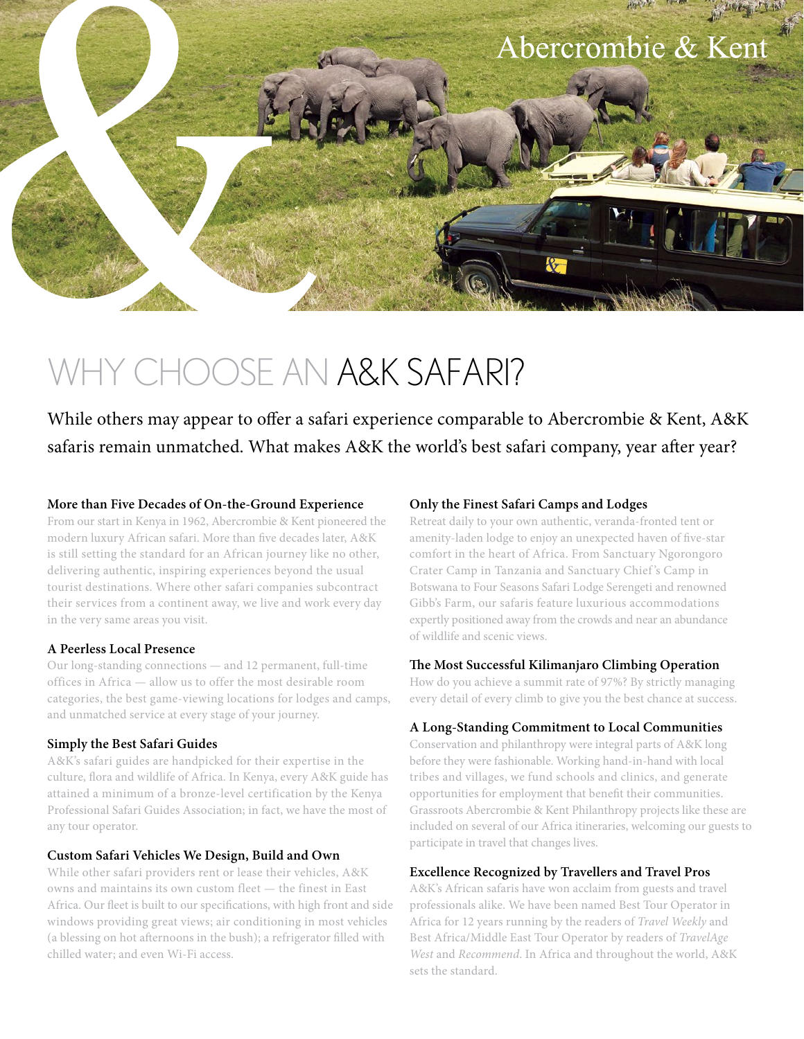

# WHY CHOOSE AN A&K SAFARI?

While others may appear to offer a safari experience comparable to Abercrombie & Kent, A&K safaris remain unmatched. What makes A&K the world's best safari company, year after year?

#### **More than Five Decades of On-the-Ground Experience**

From our start in Kenya in 1962, Abercrombie & Kent pioneered the modern luxury African safari. More than five decades later, A&K is still setting the standard for an African journey like no other, delivering authentic, inspiring experiences beyond the usual tourist destinations. Where other safari companies subcontract their services from a continent away, we live and work every day in the very same areas you visit.

#### **A Peerless Local Presence**

Our long-standing connections — and 12 permanent, full-time offices in Africa — allow us to offer the most desirable room categories, the best game-viewing locations for lodges and camps, and unmatched service at every stage of your journey.

#### **Simply the Best Safari Guides**

A&K's safari guides are handpicked for their expertise in the culture, flora and wildlife of Africa. In Kenya, every A&K guide has attained a minimum of a bronze-level certification by the Kenya Professional Safari Guides Association; in fact, we have the most of any tour operator.

#### **Custom Safari Vehicles We Design, Build and Own**

While other safari providers rent or lease their vehicles, A&K owns and maintains its own custom fleet — the finest in East Africa. Our fleet is built to our specifications, with high front and side windows providing great views; air conditioning in most vehicles (a blessing on hot afternoons in the bush); a refrigerator filled with chilled water; and even Wi-Fi access.

#### **Only the Finest Safari Camps and Lodges**

Retreat daily to your own authentic, veranda-fronted tent or amenity-laden lodge to enjoy an unexpected haven of five-star comfort in the heart of Africa. From Sanctuary Ngorongoro Crater Camp in Tanzania and Sanctuary Chief 's Camp in Botswana to Four Seasons Safari Lodge Serengeti and renowned Gibb's Farm, our safaris feature luxurious accommodations expertly positioned away from the crowds and near an abundance of wildlife and scenic views.

#### **The Most Successful Kilimanjaro Climbing Operation**

How do you achieve a summit rate of 97%? By strictly managing every detail of every climb to give you the best chance at success.

#### **A Long-Standing Commitment to Local Communities**

Conservation and philanthropy were integral parts of A&K long before they were fashionable. Working hand-in-hand with local tribes and villages, we fund schools and clinics, and generate opportunities for employment that benefit their communities. Grassroots Abercrombie & Kent Philanthropy projects like these are included on several of our Africa itineraries, welcoming our guests to participate in travel that changes lives.

#### **Excellence Recognized by Travellers and Travel Pros**

A&K's African safaris have won acclaim from guests and travel professionals alike. We have been named Best Tour Operator in Africa for 12 years running by the readers of *Travel Weekly* and Best Africa/Middle East Tour Operator by readers of *TravelAge West* and *Recommend*. In Africa and throughout the world, A&K sets the standard.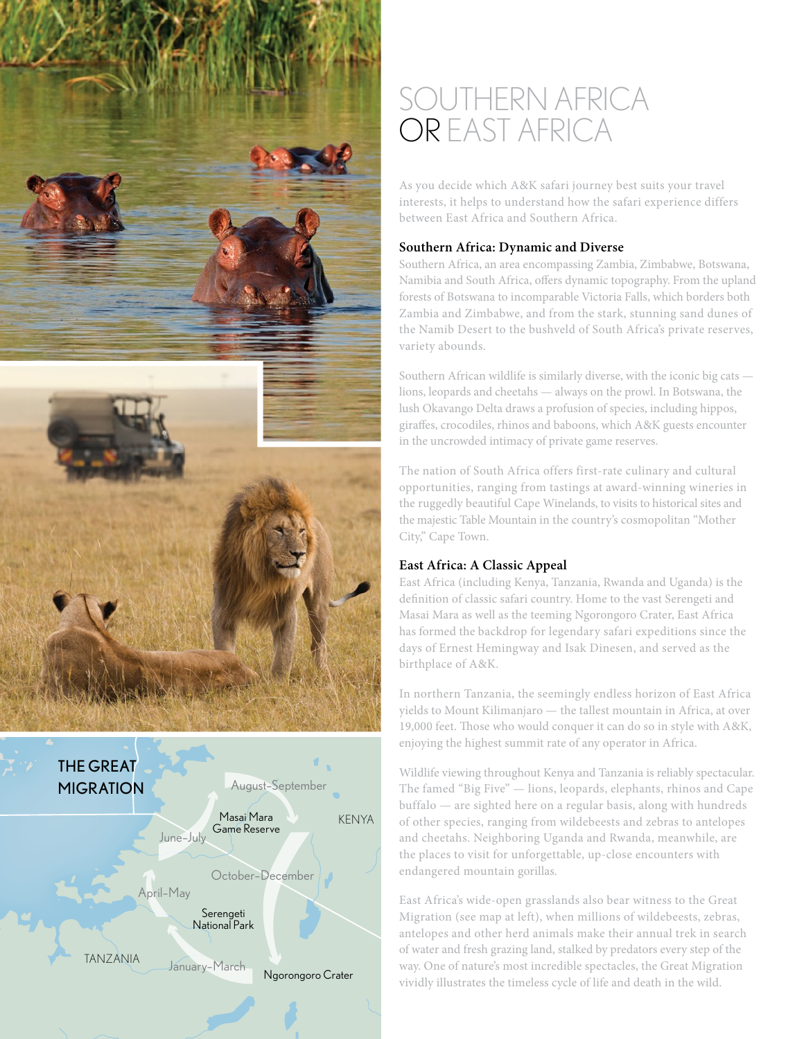

TANZANIA

January–March

Serengeti National Park

October–December

Ngorongoro Crater

April–May

SOUTHERN AFRICA OR EAST AFRICA

As you decide which A&K safari journey best suits your travel interests, it helps to understand how the safari experience differs between East Africa and Southern Africa.

#### **Southern Africa: Dynamic and Diverse**

Southern Africa, an area encompassing Zambia, Zimbabwe, Botswana, Namibia and South Africa, offers dynamic topography. From the upland forests of Botswana to incomparable Victoria Falls, which borders both Zambia and Zimbabwe, and from the stark, stunning sand dunes of the Namib Desert to the bushveld of South Africa's private reserves, variety abounds.

Southern African wildlife is similarly diverse, with the iconic big cats lions, leopards and cheetahs — always on the prowl. In Botswana, the lush Okavango Delta draws a profusion of species, including hippos, giraffes, crocodiles, rhinos and baboons, which A&K guests encounter in the uncrowded intimacy of private game reserves.

The nation of South Africa offers first-rate culinary and cultural opportunities, ranging from tastings at award-winning wineries in the ruggedly beautiful Cape Winelands, to visits to historical sites and the majestic Table Mountain in the country's cosmopolitan "Mother City," Cape Town.

# **East Africa: A Classic Appeal**

East Africa (including Kenya, Tanzania, Rwanda and Uganda) is the definition of classic safari country. Home to the vast Serengeti and Masai Mara as well as the teeming Ngorongoro Crater, East Africa has formed the backdrop for legendary safari expeditions since the days of Ernest Hemingway and Isak Dinesen, and served as the birthplace of A&K.

In northern Tanzania, the seemingly endless horizon of East Africa yields to Mount Kilimanjaro — the tallest mountain in Africa, at over 19,000 feet. Those who would conquer it can do so in style with A&K, enjoying the highest summit rate of any operator in Africa.

Wildlife viewing throughout Kenya and Tanzania is reliably spectacular. The famed "Big Five" — lions, leopards, elephants, rhinos and Cape buffalo — are sighted here on a regular basis, along with hundreds of other species, ranging from wildebeests and zebras to antelopes and cheetahs. Neighboring Uganda and Rwanda, meanwhile, are the places to visit for unforgettable, up-close encounters with endangered mountain gorillas.

East Africa's wide-open grasslands also bear witness to the Great Migration (see map at left), when millions of wildebeests, zebras, antelopes and other herd animals make their annual trek in search of water and fresh grazing land, stalked by predators every step of the way. One of nature's most incredible spectacles, the Great Migration vividly illustrates the timeless cycle of life and death in the wild.